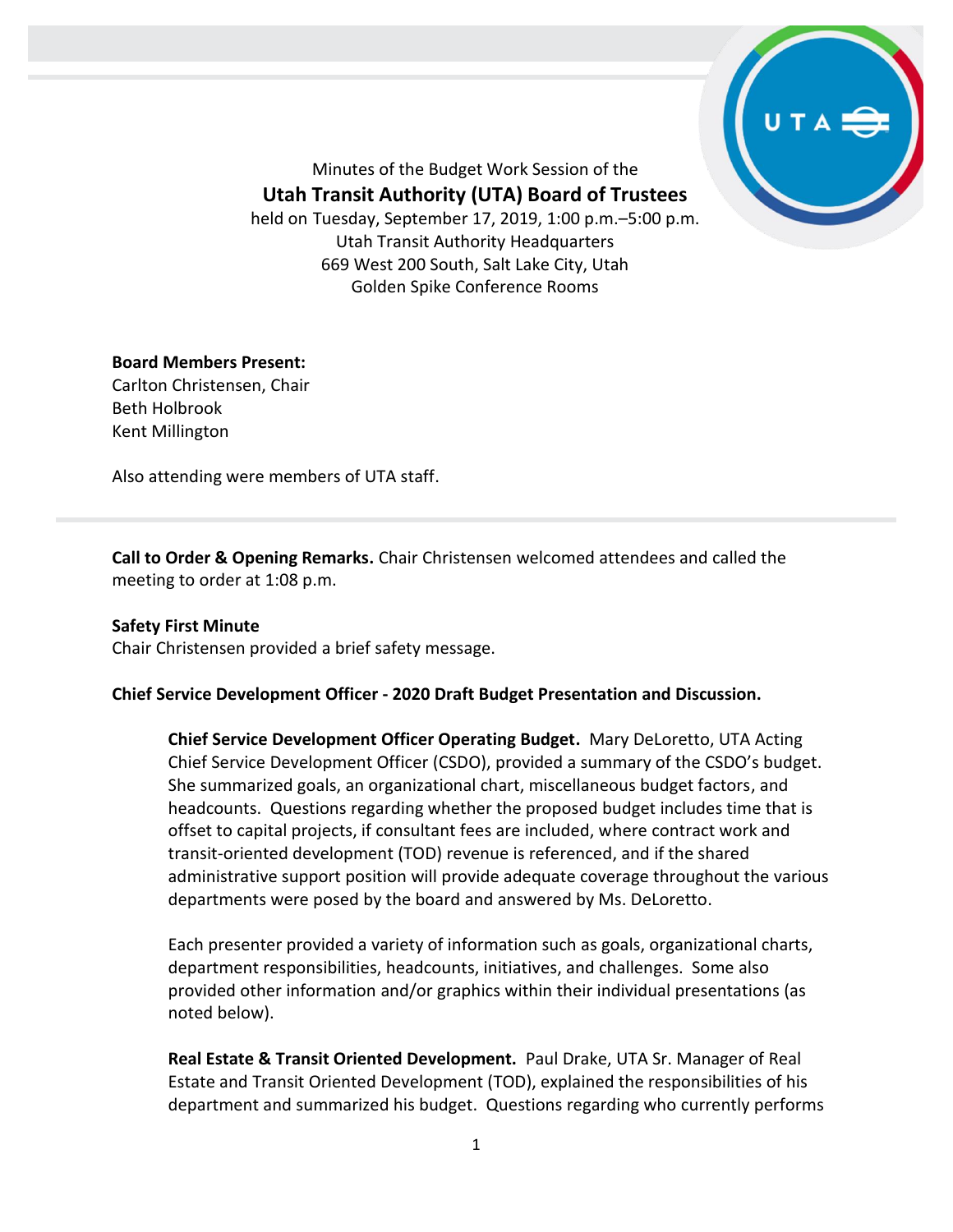

Minutes of the Budget Work Session of the

**Utah Transit Authority (UTA) Board of Trustees**

held on Tuesday, September 17, 2019, 1:00 p.m.–5:00 p.m. Utah Transit Authority Headquarters 669 West 200 South, Salt Lake City, Utah Golden Spike Conference Rooms

## **Board Members Present:**

Carlton Christensen, Chair Beth Holbrook Kent Millington

Also attending were members of UTA staff.

**Call to Order & Opening Remarks.** Chair Christensen welcomed attendees and called the meeting to order at 1:08 p.m.

**Safety First Minute** Chair Christensen provided a brief safety message.

## **Chief Service Development Officer - 2020 Draft Budget Presentation and Discussion.**

**Chief Service Development Officer Operating Budget.** Mary DeLoretto, UTA Acting Chief Service Development Officer (CSDO), provided a summary of the CSDO's budget. She summarized goals, an organizational chart, miscellaneous budget factors, and headcounts. Questions regarding whether the proposed budget includes time that is offset to capital projects, if consultant fees are included, where contract work and transit-oriented development (TOD) revenue is referenced, and if the shared administrative support position will provide adequate coverage throughout the various departments were posed by the board and answered by Ms. DeLoretto.

Each presenter provided a variety of information such as goals, organizational charts, department responsibilities, headcounts, initiatives, and challenges. Some also provided other information and/or graphics within their individual presentations (as noted below).

**Real Estate & Transit Oriented Development.** Paul Drake, UTA Sr. Manager of Real Estate and Transit Oriented Development (TOD), explained the responsibilities of his department and summarized his budget. Questions regarding who currently performs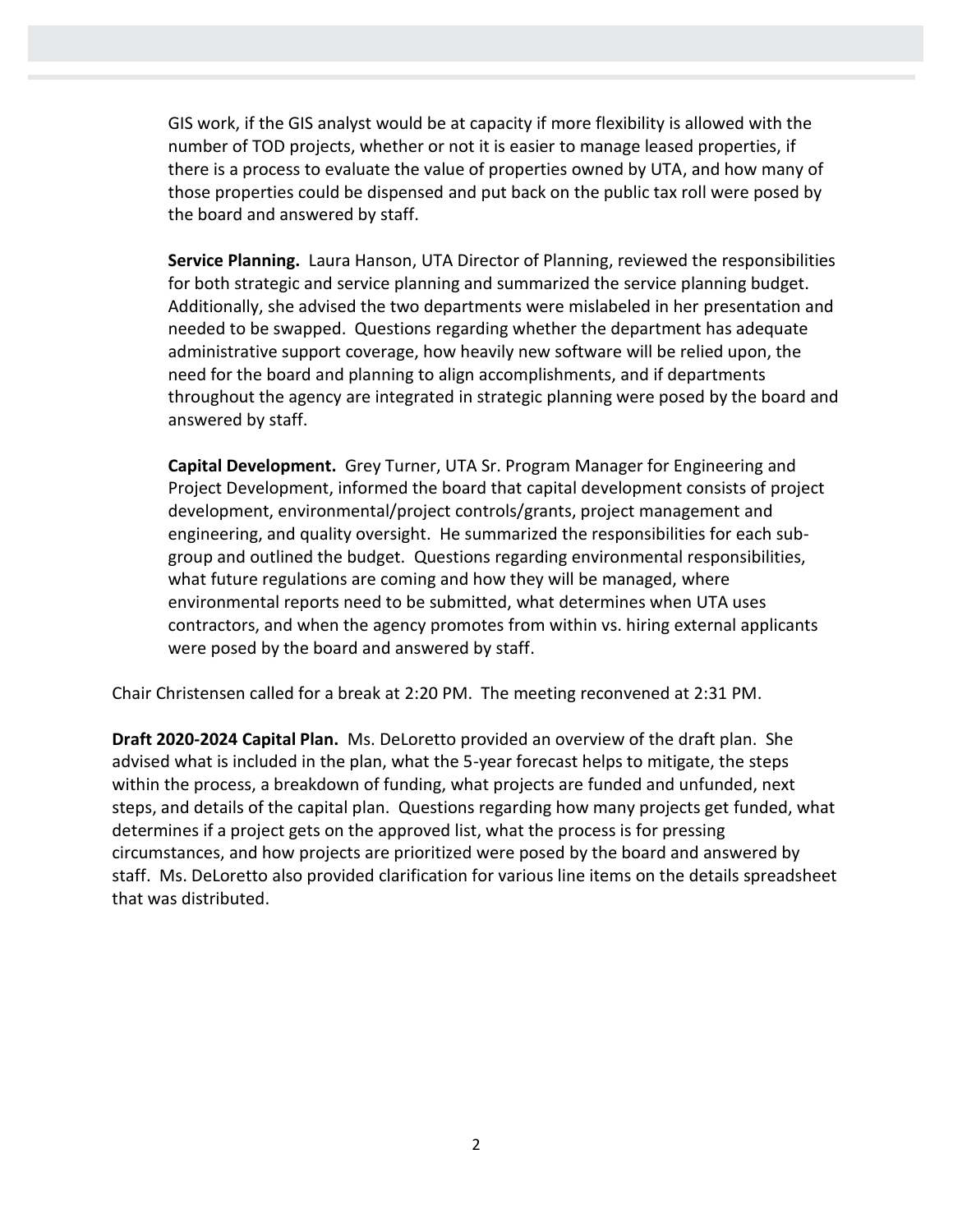GIS work, if the GIS analyst would be at capacity if more flexibility is allowed with the number of TOD projects, whether or not it is easier to manage leased properties, if there is a process to evaluate the value of properties owned by UTA, and how many of those properties could be dispensed and put back on the public tax roll were posed by the board and answered by staff.

**Service Planning.** Laura Hanson, UTA Director of Planning, reviewed the responsibilities for both strategic and service planning and summarized the service planning budget. Additionally, she advised the two departments were mislabeled in her presentation and needed to be swapped. Questions regarding whether the department has adequate administrative support coverage, how heavily new software will be relied upon, the need for the board and planning to align accomplishments, and if departments throughout the agency are integrated in strategic planning were posed by the board and answered by staff.

**Capital Development.** Grey Turner, UTA Sr. Program Manager for Engineering and Project Development, informed the board that capital development consists of project development, environmental/project controls/grants, project management and engineering, and quality oversight. He summarized the responsibilities for each subgroup and outlined the budget. Questions regarding environmental responsibilities, what future regulations are coming and how they will be managed, where environmental reports need to be submitted, what determines when UTA uses contractors, and when the agency promotes from within vs. hiring external applicants were posed by the board and answered by staff.

Chair Christensen called for a break at 2:20 PM. The meeting reconvened at 2:31 PM.

**Draft 2020-2024 Capital Plan.** Ms. DeLoretto provided an overview of the draft plan. She advised what is included in the plan, what the 5-year forecast helps to mitigate, the steps within the process, a breakdown of funding, what projects are funded and unfunded, next steps, and details of the capital plan. Questions regarding how many projects get funded, what determines if a project gets on the approved list, what the process is for pressing circumstances, and how projects are prioritized were posed by the board and answered by staff. Ms. DeLoretto also provided clarification for various line items on the details spreadsheet that was distributed.